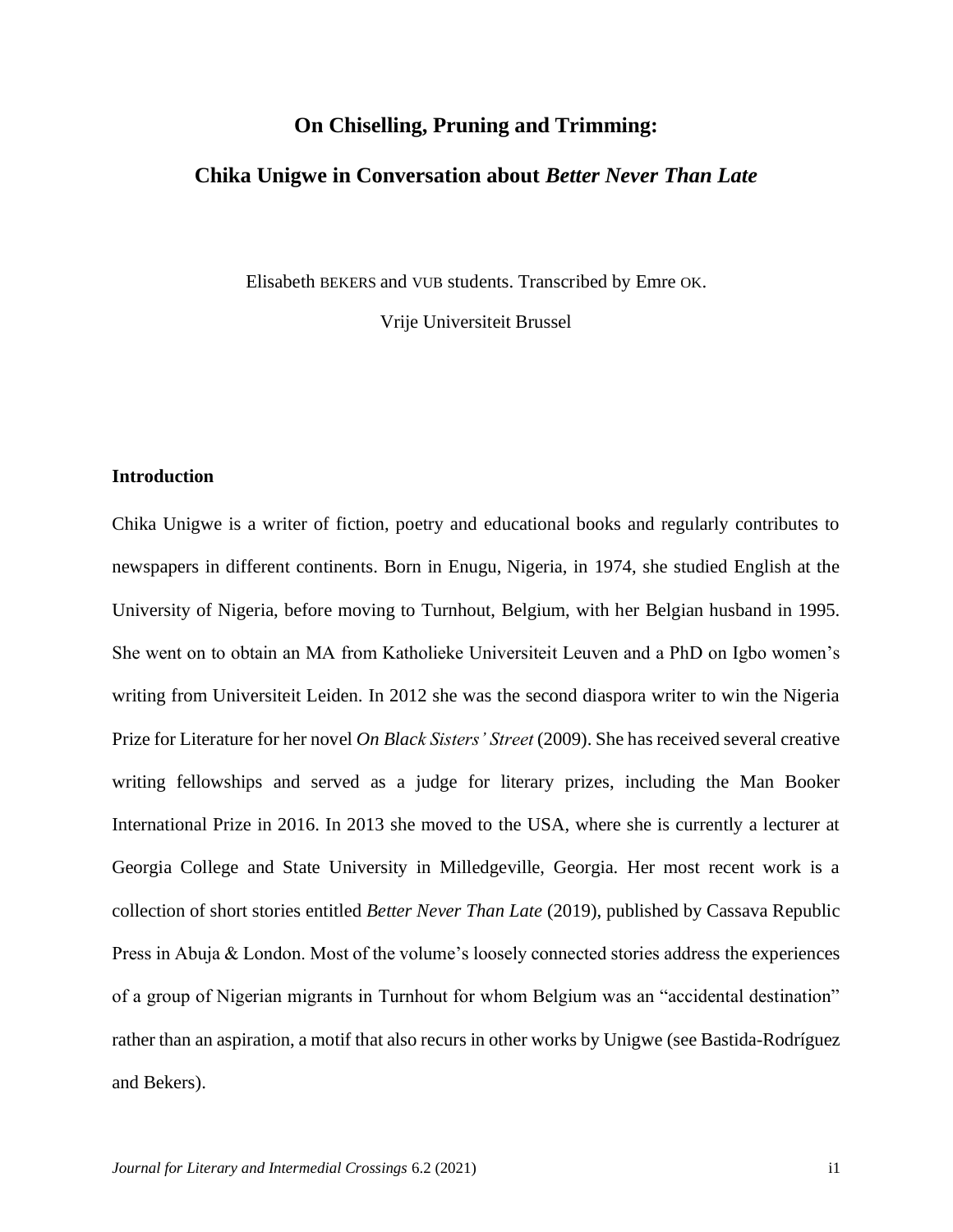## **On Chiselling, Pruning and Trimming:**

## **Chika Unigwe in Conversation about** *Better Never Than Late*

Elisabeth BEKERS and VUB students. Transcribed by Emre OK.

Vrije Universiteit Brussel

## **Introduction**

Chika Unigwe is a writer of fiction, poetry and educational books and regularly contributes to newspapers in different continents. Born in Enugu, Nigeria, in 1974, she studied English at the University of Nigeria, before moving to Turnhout, Belgium, with her Belgian husband in 1995. She went on to obtain an MA from Katholieke Universiteit Leuven and a PhD on Igbo women's writing from Universiteit Leiden. In 2012 she was the second diaspora writer to win the Nigeria Prize for Literature for her novel *On Black Sisters' Street* (2009). She has received several creative writing fellowships and served as a judge for literary prizes, including the Man Booker International Prize in 2016. In 2013 she moved to the USA, where she is currently a lecturer at Georgia College and State University in Milledgeville, Georgia. Her most recent work is a collection of short stories entitled *Better Never Than Late* (2019), published by Cassava Republic Press in Abuja & London. Most of the volume's loosely connected stories address the experiences of a group of Nigerian migrants in Turnhout for whom Belgium was an "accidental destination" rather than an aspiration, a motif that also recurs in other works by Unigwe (see Bastida-Rodríguez and Bekers).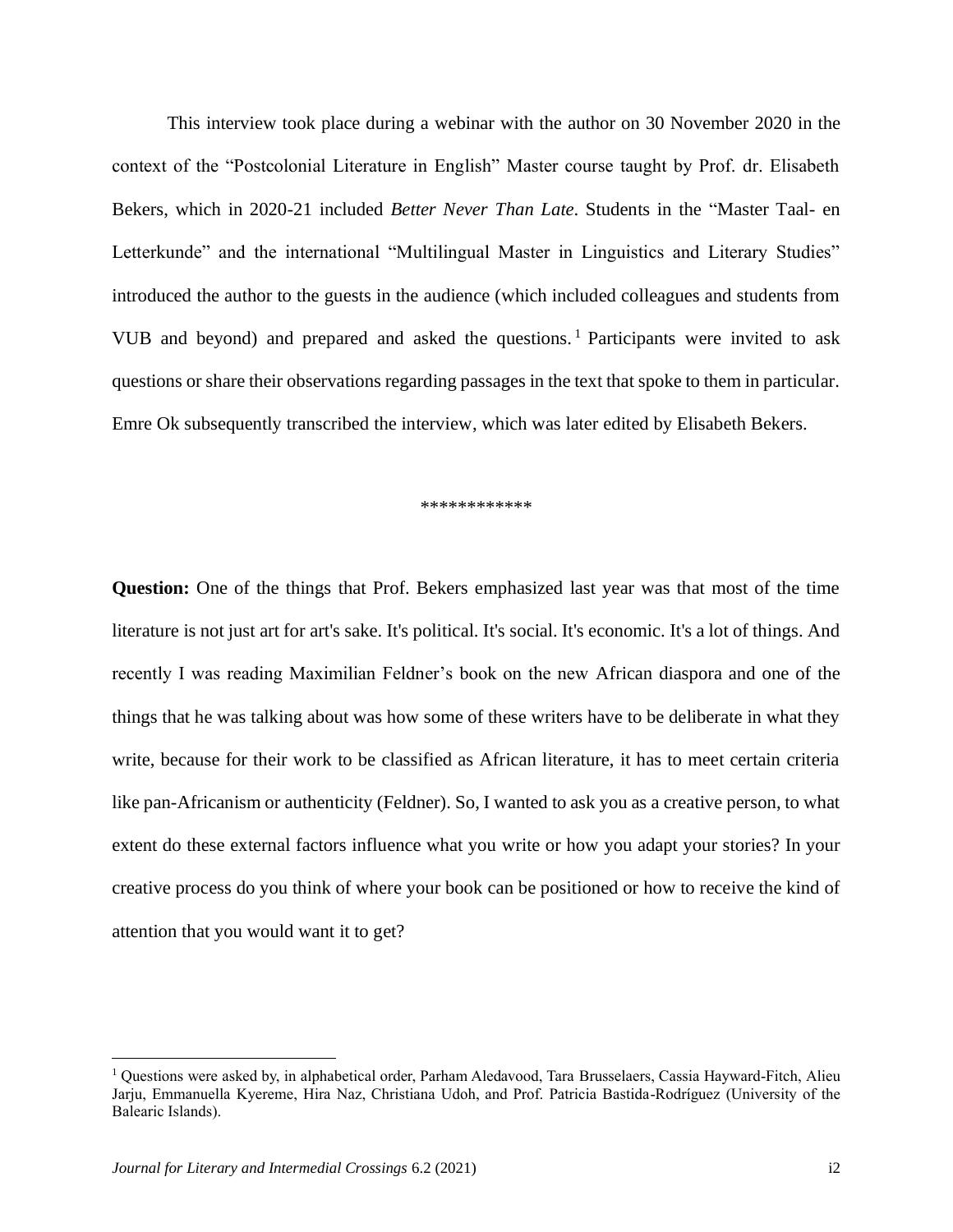This interview took place during a webinar with the author on 30 November 2020 in the context of the "Postcolonial Literature in English" Master course taught by Prof. dr. Elisabeth Bekers, which in 2020-21 included *Better Never Than Late*. Students in the "Master Taal- en Letterkunde" and the international "Multilingual Master in Linguistics and Literary Studies" introduced the author to the guests in the audience (which included colleagues and students from VUB and beyond) and prepared and asked the questions. <sup>1</sup> Participants were invited to ask questions or share their observations regarding passages in the text that spoke to them in particular. Emre Ok subsequently transcribed the interview, which was later edited by Elisabeth Bekers.

\*\*\*\*\*\*\*\*\*\*\*\*

**Question:** One of the things that Prof. Bekers emphasized last year was that most of the time literature is not just art for art's sake. It's political. It's social. It's economic. It's a lot of things. And recently I was reading Maximilian Feldner's book on the new African diaspora and one of the things that he was talking about was how some of these writers have to be deliberate in what they write, because for their work to be classified as African literature, it has to meet certain criteria like pan-Africanism or authenticity (Feldner). So, I wanted to ask you as a creative person, to what extent do these external factors influence what you write or how you adapt your stories? In your creative process do you think of where your book can be positioned or how to receive the kind of attention that you would want it to get?

<sup>1</sup> Questions were asked by, in alphabetical order, Parham Aledavood, Tara Brusselaers, Cassia Hayward-Fitch, Alieu Jarju, Emmanuella Kyereme, Hira Naz, Christiana Udoh, and Prof. Patricia Bastida-Rodríguez (University of the Balearic Islands).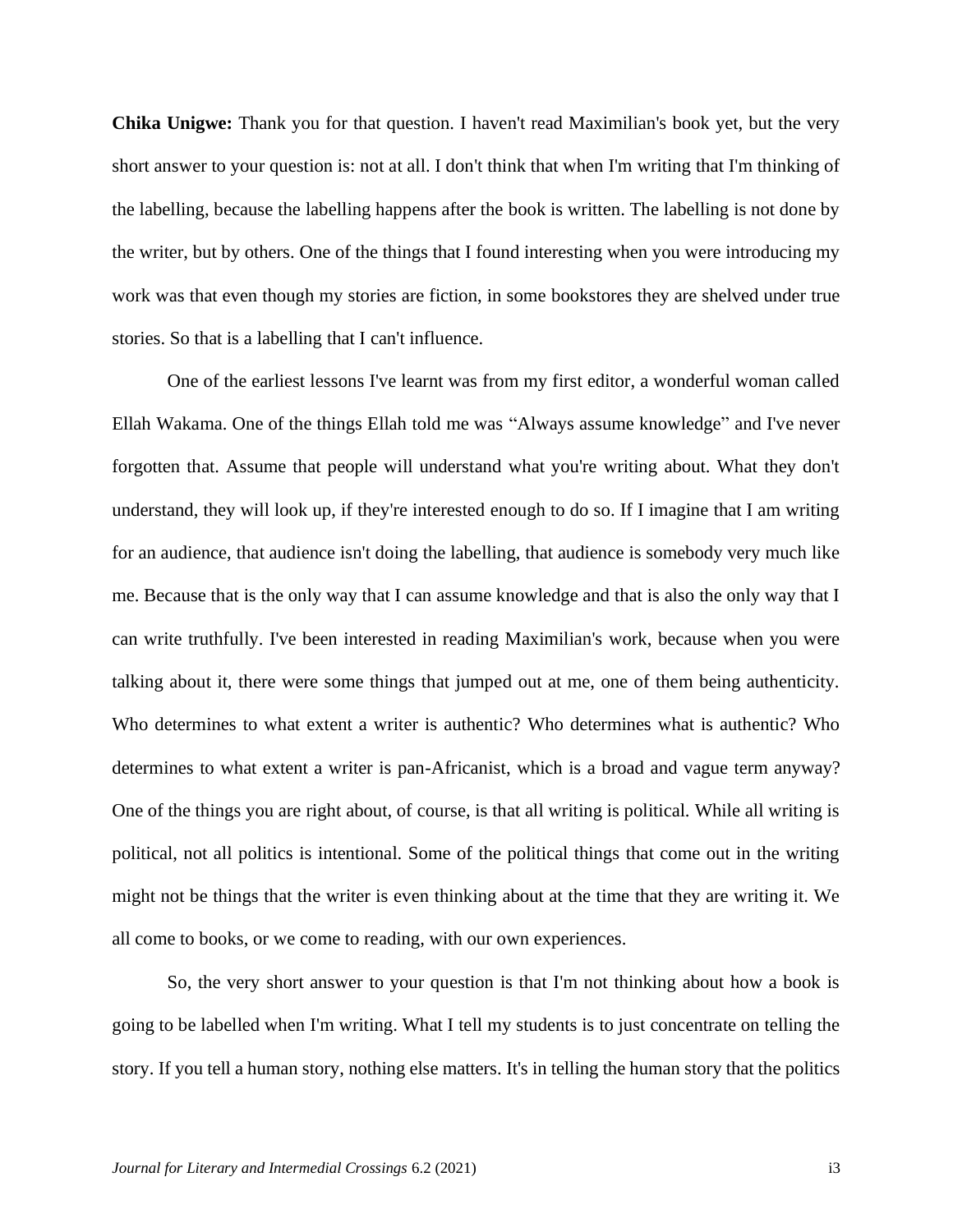**Chika Unigwe:** Thank you for that question. I haven't read Maximilian's book yet, but the very short answer to your question is: not at all. I don't think that when I'm writing that I'm thinking of the labelling, because the labelling happens after the book is written. The labelling is not done by the writer, but by others. One of the things that I found interesting when you were introducing my work was that even though my stories are fiction, in some bookstores they are shelved under true stories. So that is a labelling that I can't influence.

One of the earliest lessons I've learnt was from my first editor, a wonderful woman called Ellah Wakama. One of the things Ellah told me was "Always assume knowledge" and I've never forgotten that. Assume that people will understand what you're writing about. What they don't understand, they will look up, if they're interested enough to do so. If I imagine that I am writing for an audience, that audience isn't doing the labelling, that audience is somebody very much like me. Because that is the only way that I can assume knowledge and that is also the only way that I can write truthfully. I've been interested in reading Maximilian's work, because when you were talking about it, there were some things that jumped out at me, one of them being authenticity. Who determines to what extent a writer is authentic? Who determines what is authentic? Who determines to what extent a writer is pan-Africanist, which is a broad and vague term anyway? One of the things you are right about, of course, is that all writing is political. While all writing is political, not all politics is intentional. Some of the political things that come out in the writing might not be things that the writer is even thinking about at the time that they are writing it. We all come to books, or we come to reading, with our own experiences.

So, the very short answer to your question is that I'm not thinking about how a book is going to be labelled when I'm writing. What I tell my students is to just concentrate on telling the story. If you tell a human story, nothing else matters. It's in telling the human story that the politics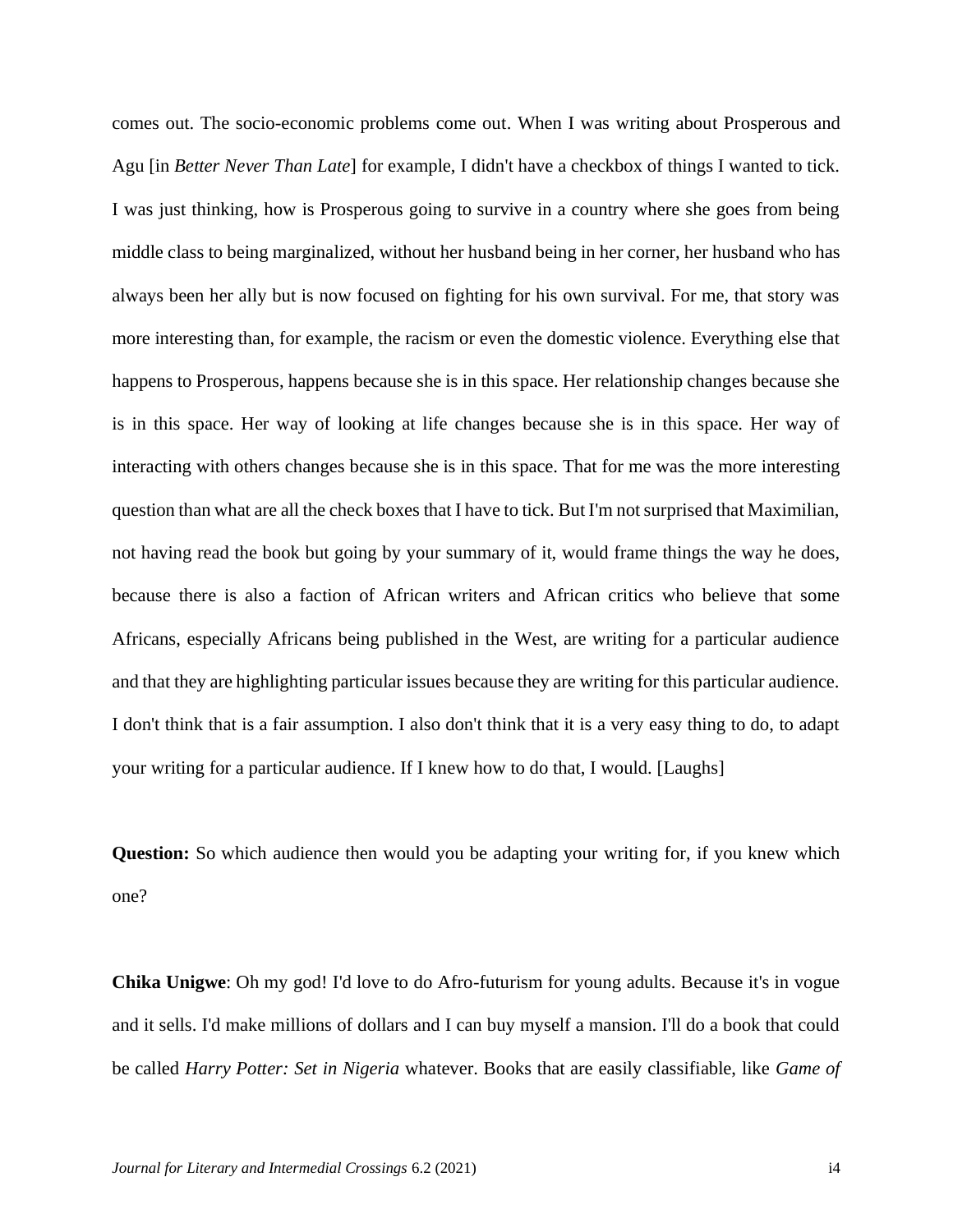comes out. The socio-economic problems come out. When I was writing about Prosperous and Agu [in *Better Never Than Late*] for example, I didn't have a checkbox of things I wanted to tick. I was just thinking, how is Prosperous going to survive in a country where she goes from being middle class to being marginalized, without her husband being in her corner, her husband who has always been her ally but is now focused on fighting for his own survival. For me, that story was more interesting than, for example, the racism or even the domestic violence. Everything else that happens to Prosperous, happens because she is in this space. Her relationship changes because she is in this space. Her way of looking at life changes because she is in this space. Her way of interacting with others changes because she is in this space. That for me was the more interesting question than what are all the check boxes that I have to tick. But I'm not surprised that Maximilian, not having read the book but going by your summary of it, would frame things the way he does, because there is also a faction of African writers and African critics who believe that some Africans, especially Africans being published in the West, are writing for a particular audience and that they are highlighting particular issues because they are writing for this particular audience. I don't think that is a fair assumption. I also don't think that it is a very easy thing to do, to adapt your writing for a particular audience. If I knew how to do that, I would. [Laughs]

**Question:** So which audience then would you be adapting your writing for, if you knew which one?

**Chika Unigwe**: Oh my god! I'd love to do Afro-futurism for young adults. Because it's in vogue and it sells. I'd make millions of dollars and I can buy myself a mansion. I'll do a book that could be called *Harry Potter: Set in Nigeria* whatever. Books that are easily classifiable, like *Game of*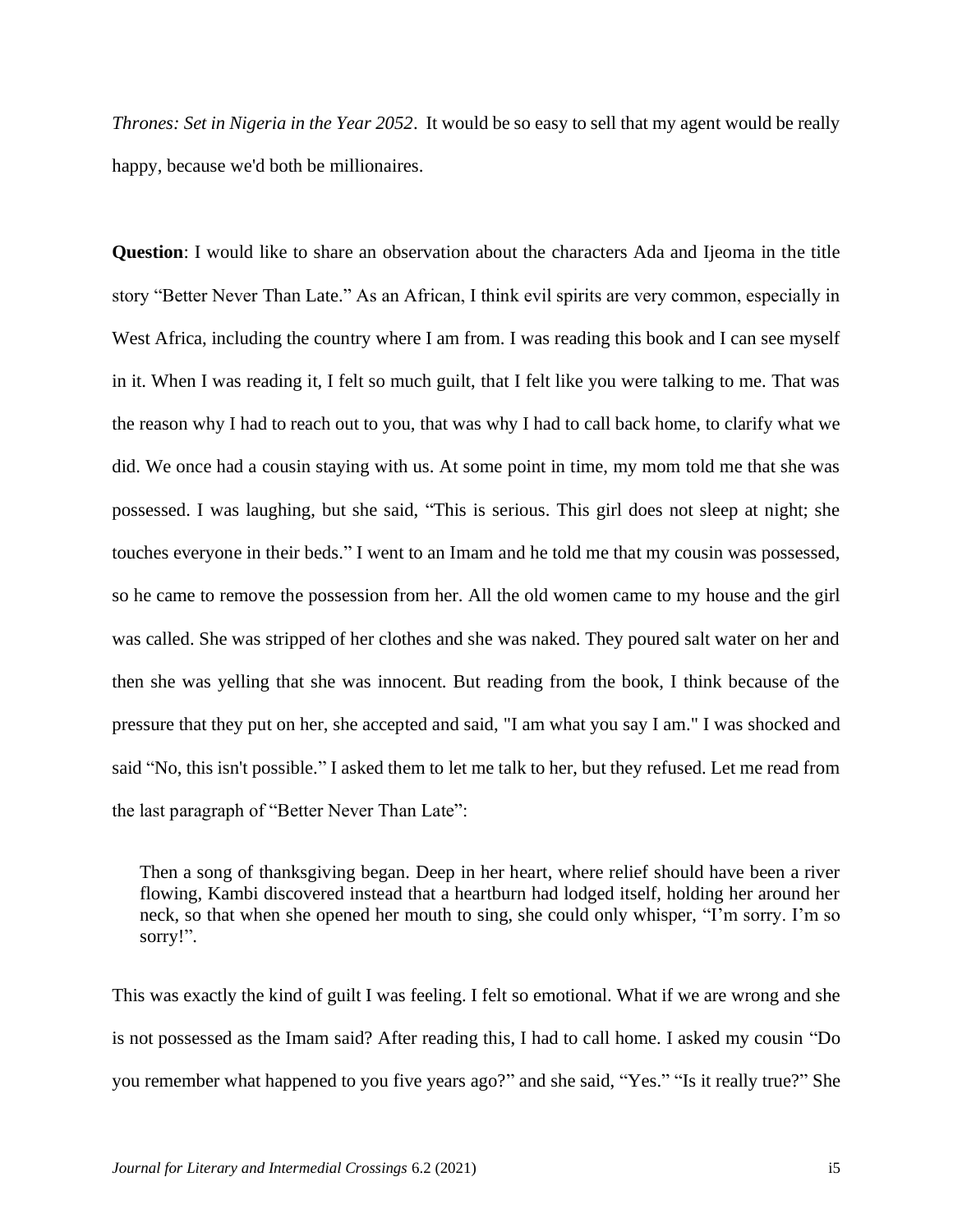*Thrones: Set in Nigeria in the Year 2052*. It would be so easy to sell that my agent would be really happy, because we'd both be millionaires.

**Question**: I would like to share an observation about the characters Ada and Ijeoma in the title story "Better Never Than Late." As an African, I think evil spirits are very common, especially in West Africa, including the country where I am from. I was reading this book and I can see myself in it. When I was reading it, I felt so much guilt, that I felt like you were talking to me. That was the reason why I had to reach out to you, that was why I had to call back home, to clarify what we did. We once had a cousin staying with us. At some point in time, my mom told me that she was possessed. I was laughing, but she said, "This is serious. This girl does not sleep at night; she touches everyone in their beds." I went to an Imam and he told me that my cousin was possessed, so he came to remove the possession from her. All the old women came to my house and the girl was called. She was stripped of her clothes and she was naked. They poured salt water on her and then she was yelling that she was innocent. But reading from the book, I think because of the pressure that they put on her, she accepted and said, "I am what you say I am." I was shocked and said "No, this isn't possible." I asked them to let me talk to her, but they refused. Let me read from the last paragraph of "Better Never Than Late":

Then a song of thanksgiving began. Deep in her heart, where relief should have been a river flowing, Kambi discovered instead that a heartburn had lodged itself, holding her around her neck, so that when she opened her mouth to sing, she could only whisper, "I'm sorry. I'm so sorry!".

This was exactly the kind of guilt I was feeling. I felt so emotional. What if we are wrong and she is not possessed as the Imam said? After reading this, I had to call home. I asked my cousin "Do you remember what happened to you five years ago?" and she said, "Yes." "Is it really true?" She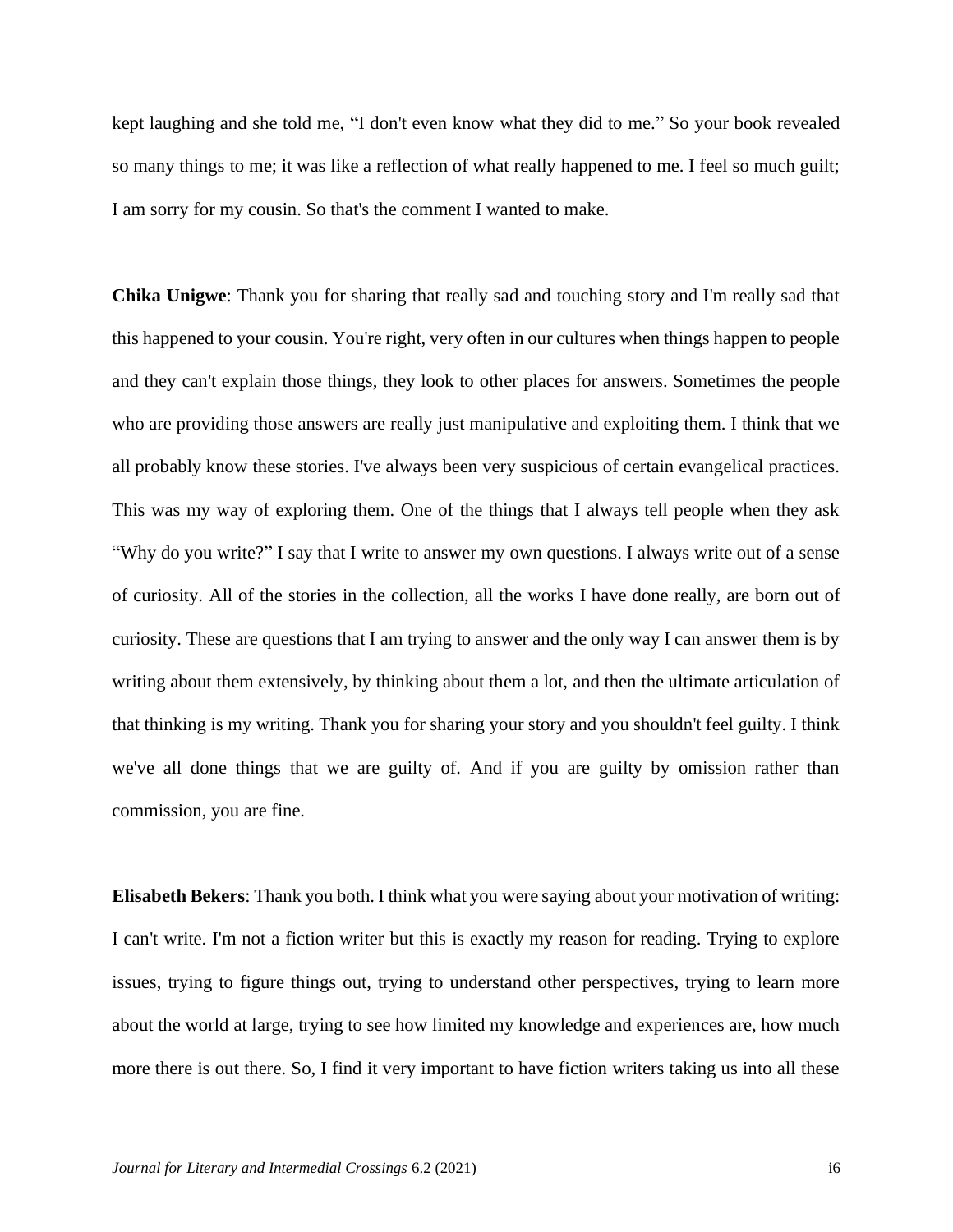kept laughing and she told me, "I don't even know what they did to me." So your book revealed so many things to me; it was like a reflection of what really happened to me. I feel so much guilt; I am sorry for my cousin. So that's the comment I wanted to make.

**Chika Unigwe**: Thank you for sharing that really sad and touching story and I'm really sad that this happened to your cousin. You're right, very often in our cultures when things happen to people and they can't explain those things, they look to other places for answers. Sometimes the people who are providing those answers are really just manipulative and exploiting them. I think that we all probably know these stories. I've always been very suspicious of certain evangelical practices. This was my way of exploring them. One of the things that I always tell people when they ask "Why do you write?" I say that I write to answer my own questions. I always write out of a sense of curiosity. All of the stories in the collection, all the works I have done really, are born out of curiosity. These are questions that I am trying to answer and the only way I can answer them is by writing about them extensively, by thinking about them a lot, and then the ultimate articulation of that thinking is my writing. Thank you for sharing your story and you shouldn't feel guilty. I think we've all done things that we are guilty of. And if you are guilty by omission rather than commission, you are fine.

**Elisabeth Bekers**: Thank you both. I think what you were saying about your motivation of writing: I can't write. I'm not a fiction writer but this is exactly my reason for reading. Trying to explore issues, trying to figure things out, trying to understand other perspectives, trying to learn more about the world at large, trying to see how limited my knowledge and experiences are, how much more there is out there. So, I find it very important to have fiction writers taking us into all these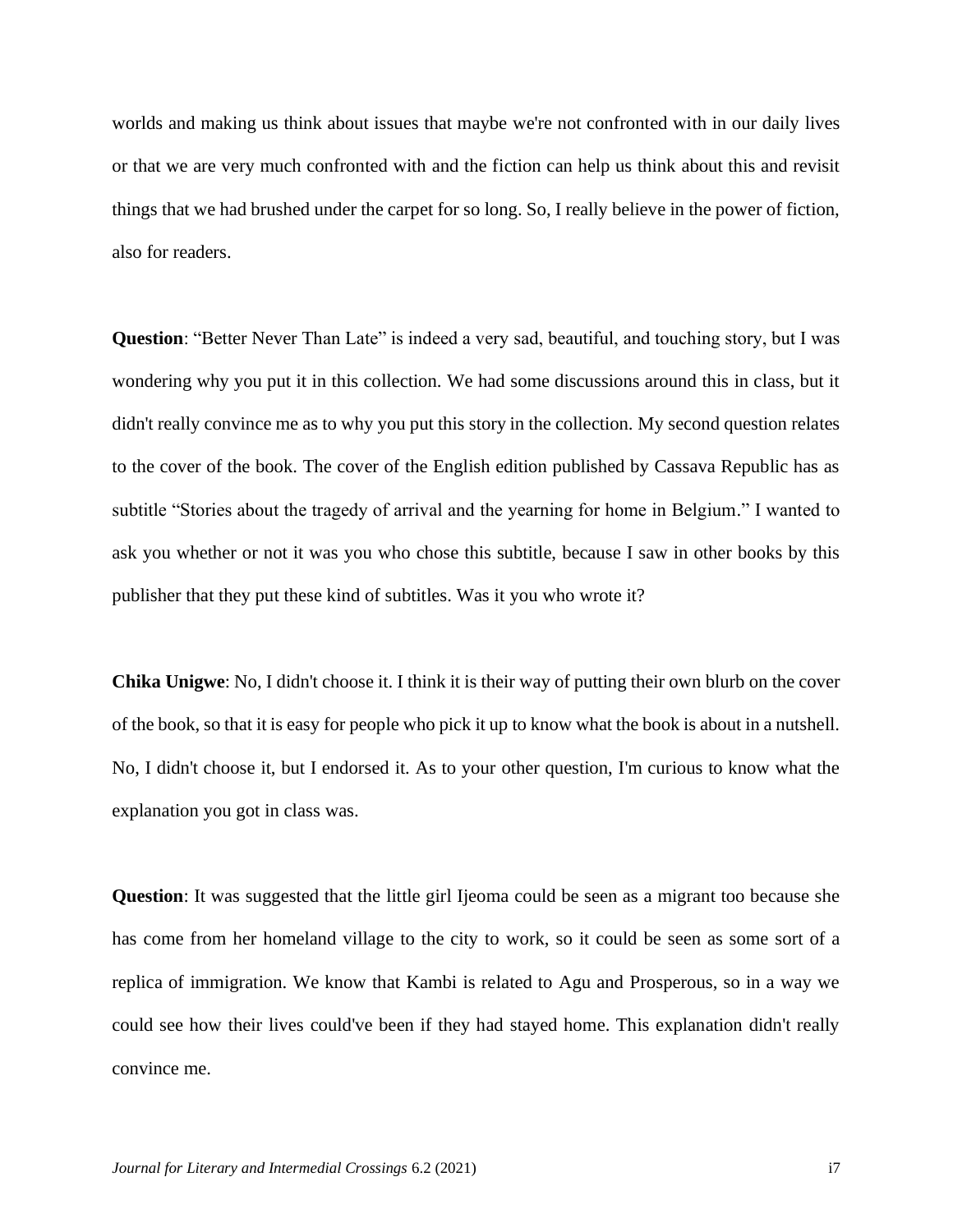worlds and making us think about issues that maybe we're not confronted with in our daily lives or that we are very much confronted with and the fiction can help us think about this and revisit things that we had brushed under the carpet for so long. So, I really believe in the power of fiction, also for readers.

**Question**: "Better Never Than Late" is indeed a very sad, beautiful, and touching story, but I was wondering why you put it in this collection. We had some discussions around this in class, but it didn't really convince me as to why you put this story in the collection. My second question relates to the cover of the book. The cover of the English edition published by Cassava Republic has as subtitle "Stories about the tragedy of arrival and the yearning for home in Belgium." I wanted to ask you whether or not it was you who chose this subtitle, because I saw in other books by this publisher that they put these kind of subtitles. Was it you who wrote it?

**Chika Unigwe**: No, I didn't choose it. I think it is their way of putting their own blurb on the cover of the book, so that it is easy for people who pick it up to know what the book is about in a nutshell. No, I didn't choose it, but I endorsed it. As to your other question, I'm curious to know what the explanation you got in class was.

**Question**: It was suggested that the little girl Ijeoma could be seen as a migrant too because she has come from her homeland village to the city to work, so it could be seen as some sort of a replica of immigration. We know that Kambi is related to Agu and Prosperous, so in a way we could see how their lives could've been if they had stayed home. This explanation didn't really convince me.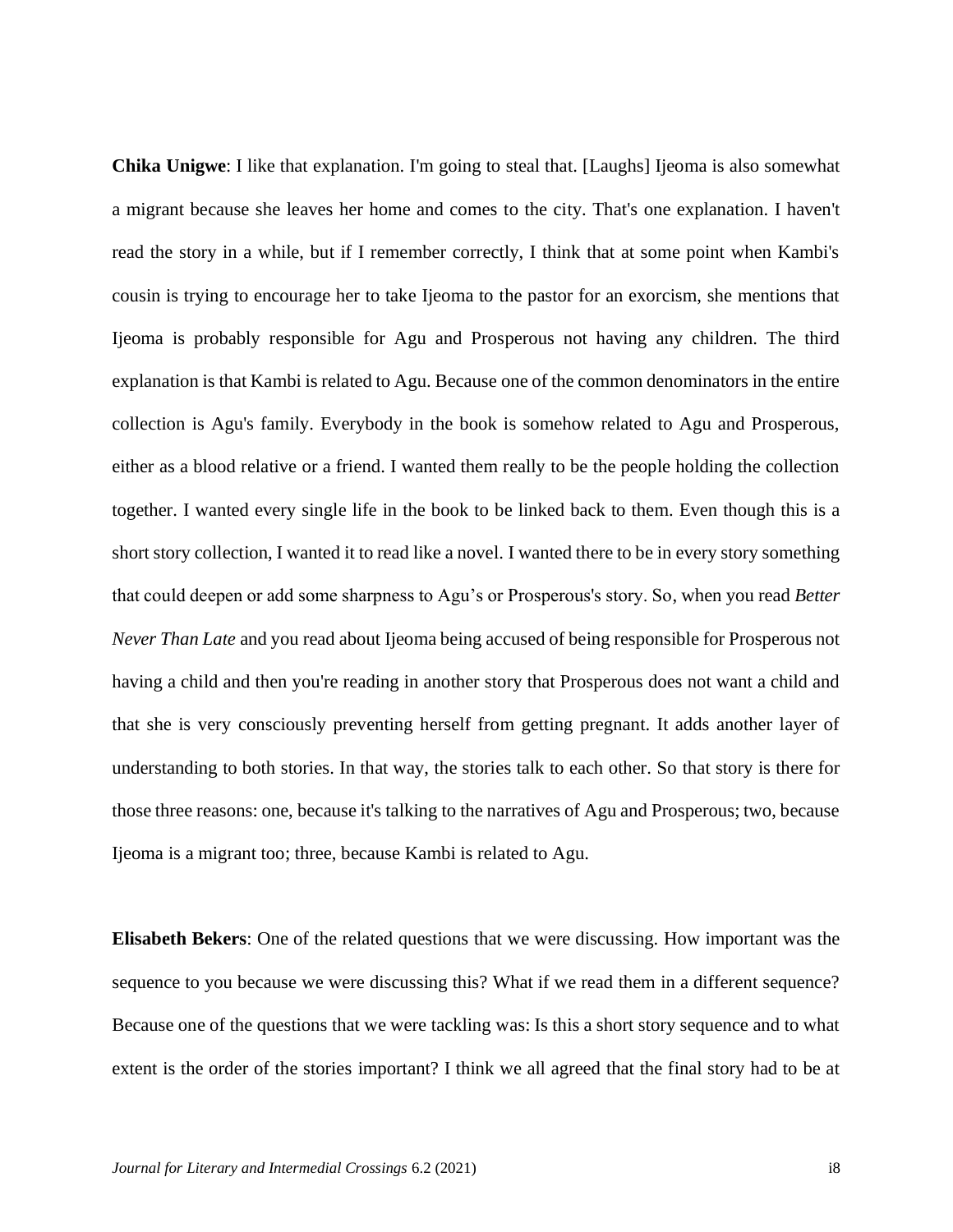**Chika Unigwe**: I like that explanation. I'm going to steal that. [Laughs] Ijeoma is also somewhat a migrant because she leaves her home and comes to the city. That's one explanation. I haven't read the story in a while, but if I remember correctly, I think that at some point when Kambi's cousin is trying to encourage her to take Ijeoma to the pastor for an exorcism, she mentions that Ijeoma is probably responsible for Agu and Prosperous not having any children. The third explanation is that Kambi is related to Agu. Because one of the common denominators in the entire collection is Agu's family. Everybody in the book is somehow related to Agu and Prosperous, either as a blood relative or a friend. I wanted them really to be the people holding the collection together. I wanted every single life in the book to be linked back to them. Even though this is a short story collection, I wanted it to read like a novel. I wanted there to be in every story something that could deepen or add some sharpness to Agu's or Prosperous's story. So, when you read *Better Never Than Late* and you read about Ijeoma being accused of being responsible for Prosperous not having a child and then you're reading in another story that Prosperous does not want a child and that she is very consciously preventing herself from getting pregnant. It adds another layer of understanding to both stories. In that way, the stories talk to each other. So that story is there for those three reasons: one, because it's talking to the narratives of Agu and Prosperous; two, because Ijeoma is a migrant too; three, because Kambi is related to Agu.

**Elisabeth Bekers**: One of the related questions that we were discussing. How important was the sequence to you because we were discussing this? What if we read them in a different sequence? Because one of the questions that we were tackling was: Is this a short story sequence and to what extent is the order of the stories important? I think we all agreed that the final story had to be at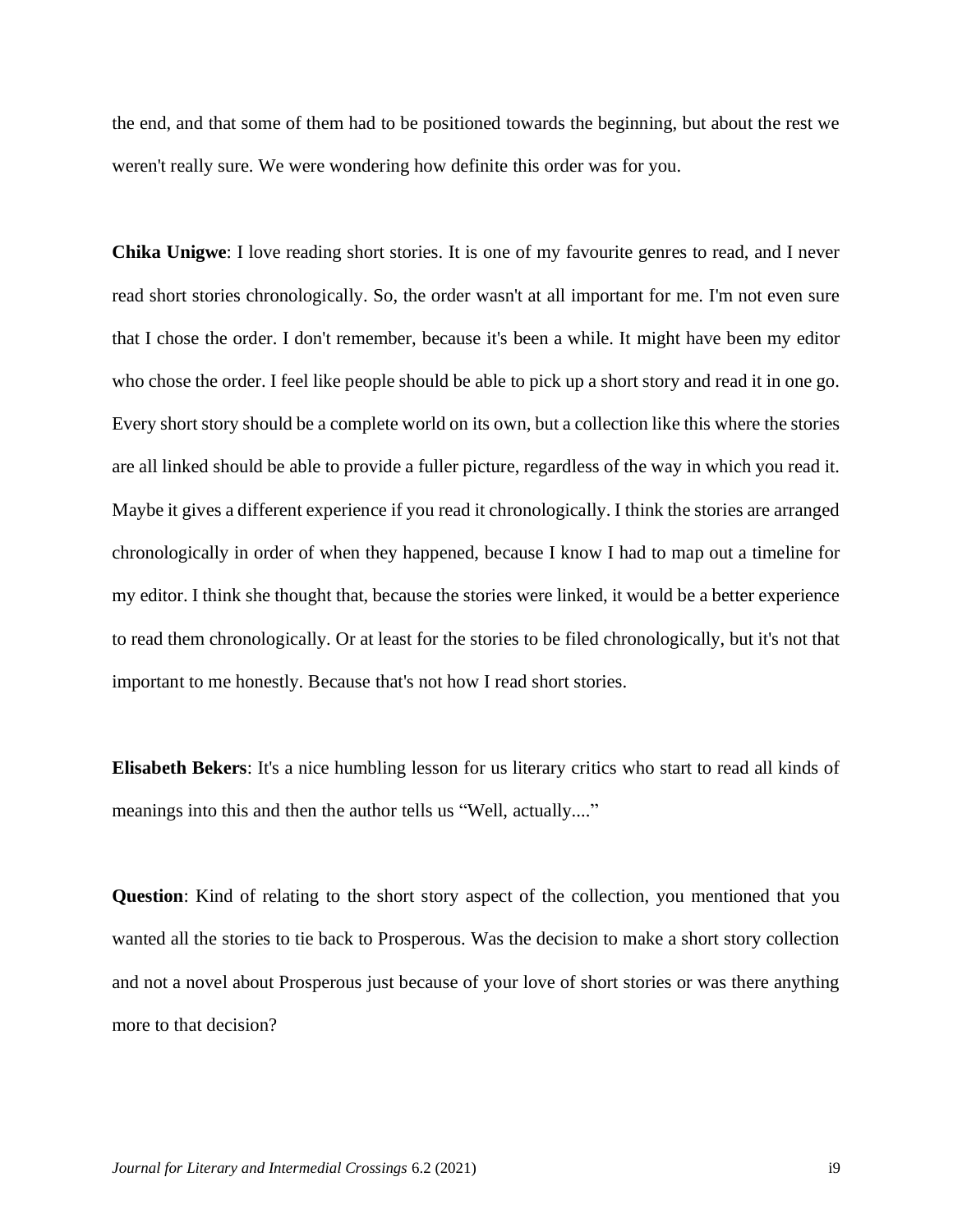the end, and that some of them had to be positioned towards the beginning, but about the rest we weren't really sure. We were wondering how definite this order was for you.

**Chika Unigwe**: I love reading short stories. It is one of my favourite genres to read, and I never read short stories chronologically. So, the order wasn't at all important for me. I'm not even sure that I chose the order. I don't remember, because it's been a while. It might have been my editor who chose the order. I feel like people should be able to pick up a short story and read it in one go. Every short story should be a complete world on its own, but a collection like this where the stories are all linked should be able to provide a fuller picture, regardless of the way in which you read it. Maybe it gives a different experience if you read it chronologically. I think the stories are arranged chronologically in order of when they happened, because I know I had to map out a timeline for my editor. I think she thought that, because the stories were linked, it would be a better experience to read them chronologically. Or at least for the stories to be filed chronologically, but it's not that important to me honestly. Because that's not how I read short stories.

**Elisabeth Bekers**: It's a nice humbling lesson for us literary critics who start to read all kinds of meanings into this and then the author tells us "Well, actually...."

**Question**: Kind of relating to the short story aspect of the collection, you mentioned that you wanted all the stories to tie back to Prosperous. Was the decision to make a short story collection and not a novel about Prosperous just because of your love of short stories or was there anything more to that decision?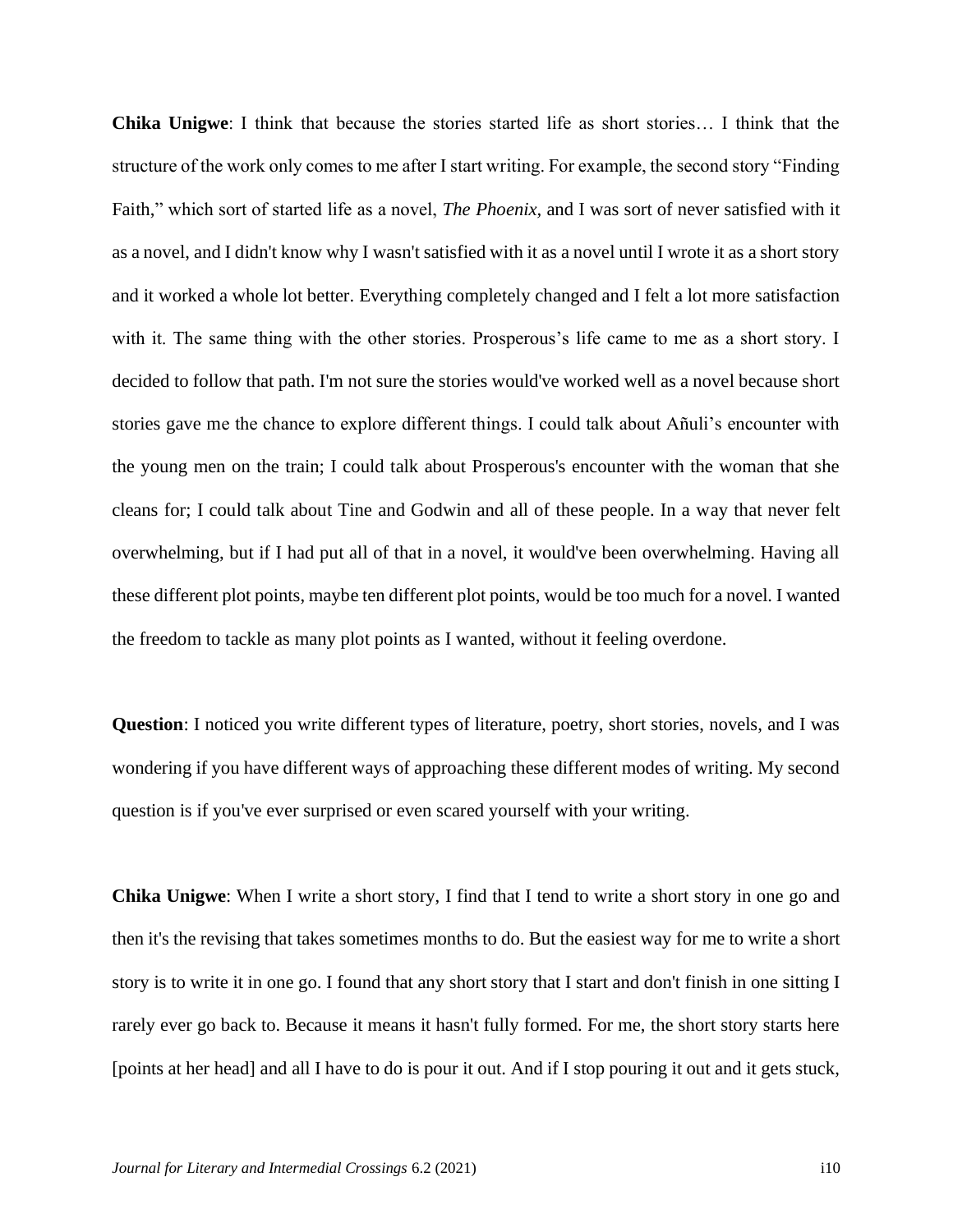**Chika Unigwe**: I think that because the stories started life as short stories… I think that the structure of the work only comes to me after I start writing. For example, the second story "Finding Faith," which sort of started life as a novel, *The Phoenix,* and I was sort of never satisfied with it as a novel, and I didn't know why I wasn't satisfied with it as a novel until I wrote it as a short story and it worked a whole lot better. Everything completely changed and I felt a lot more satisfaction with it. The same thing with the other stories. Prosperous's life came to me as a short story. I decided to follow that path. I'm not sure the stories would've worked well as a novel because short stories gave me the chance to explore different things. I could talk about Añuli's encounter with the young men on the train; I could talk about Prosperous's encounter with the woman that she cleans for; I could talk about Tine and Godwin and all of these people. In a way that never felt overwhelming, but if I had put all of that in a novel, it would've been overwhelming. Having all these different plot points, maybe ten different plot points, would be too much for a novel. I wanted the freedom to tackle as many plot points as I wanted, without it feeling overdone.

**Question**: I noticed you write different types of literature, poetry, short stories, novels, and I was wondering if you have different ways of approaching these different modes of writing. My second question is if you've ever surprised or even scared yourself with your writing.

**Chika Unigwe**: When I write a short story, I find that I tend to write a short story in one go and then it's the revising that takes sometimes months to do. But the easiest way for me to write a short story is to write it in one go. I found that any short story that I start and don't finish in one sitting I rarely ever go back to. Because it means it hasn't fully formed. For me, the short story starts here [points at her head] and all I have to do is pour it out. And if I stop pouring it out and it gets stuck,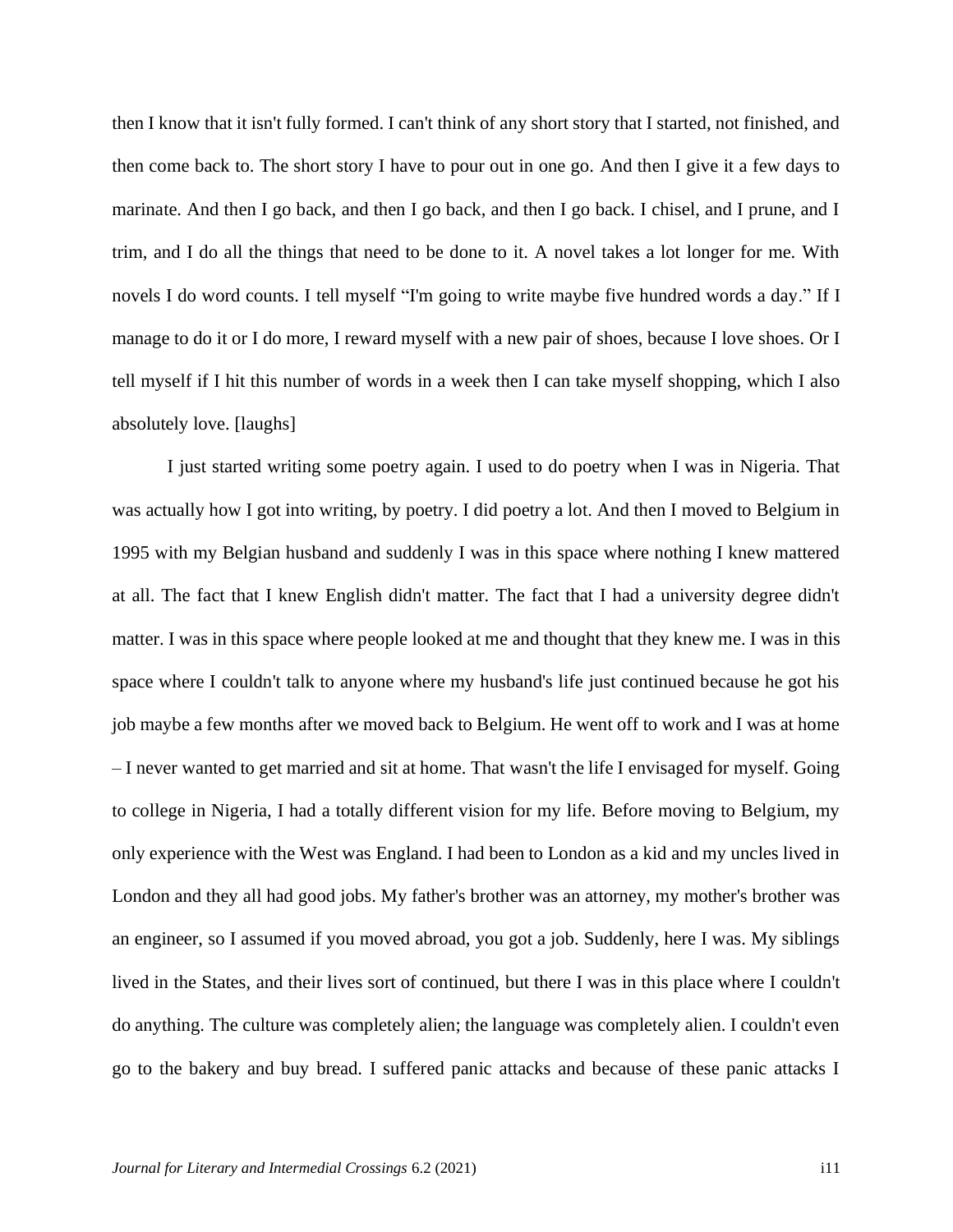then I know that it isn't fully formed. I can't think of any short story that I started, not finished, and then come back to. The short story I have to pour out in one go. And then I give it a few days to marinate. And then I go back, and then I go back, and then I go back. I chisel, and I prune, and I trim, and I do all the things that need to be done to it. A novel takes a lot longer for me. With novels I do word counts. I tell myself "I'm going to write maybe five hundred words a day." If I manage to do it or I do more, I reward myself with a new pair of shoes, because I love shoes. Or I tell myself if I hit this number of words in a week then I can take myself shopping, which I also absolutely love. [laughs]

I just started writing some poetry again. I used to do poetry when I was in Nigeria. That was actually how I got into writing, by poetry. I did poetry a lot. And then I moved to Belgium in 1995 with my Belgian husband and suddenly I was in this space where nothing I knew mattered at all. The fact that I knew English didn't matter. The fact that I had a university degree didn't matter. I was in this space where people looked at me and thought that they knew me. I was in this space where I couldn't talk to anyone where my husband's life just continued because he got his job maybe a few months after we moved back to Belgium. He went off to work and I was at home – I never wanted to get married and sit at home. That wasn't the life I envisaged for myself. Going to college in Nigeria, I had a totally different vision for my life. Before moving to Belgium, my only experience with the West was England. I had been to London as a kid and my uncles lived in London and they all had good jobs. My father's brother was an attorney, my mother's brother was an engineer, so I assumed if you moved abroad, you got a job. Suddenly, here I was. My siblings lived in the States, and their lives sort of continued, but there I was in this place where I couldn't do anything. The culture was completely alien; the language was completely alien. I couldn't even go to the bakery and buy bread. I suffered panic attacks and because of these panic attacks I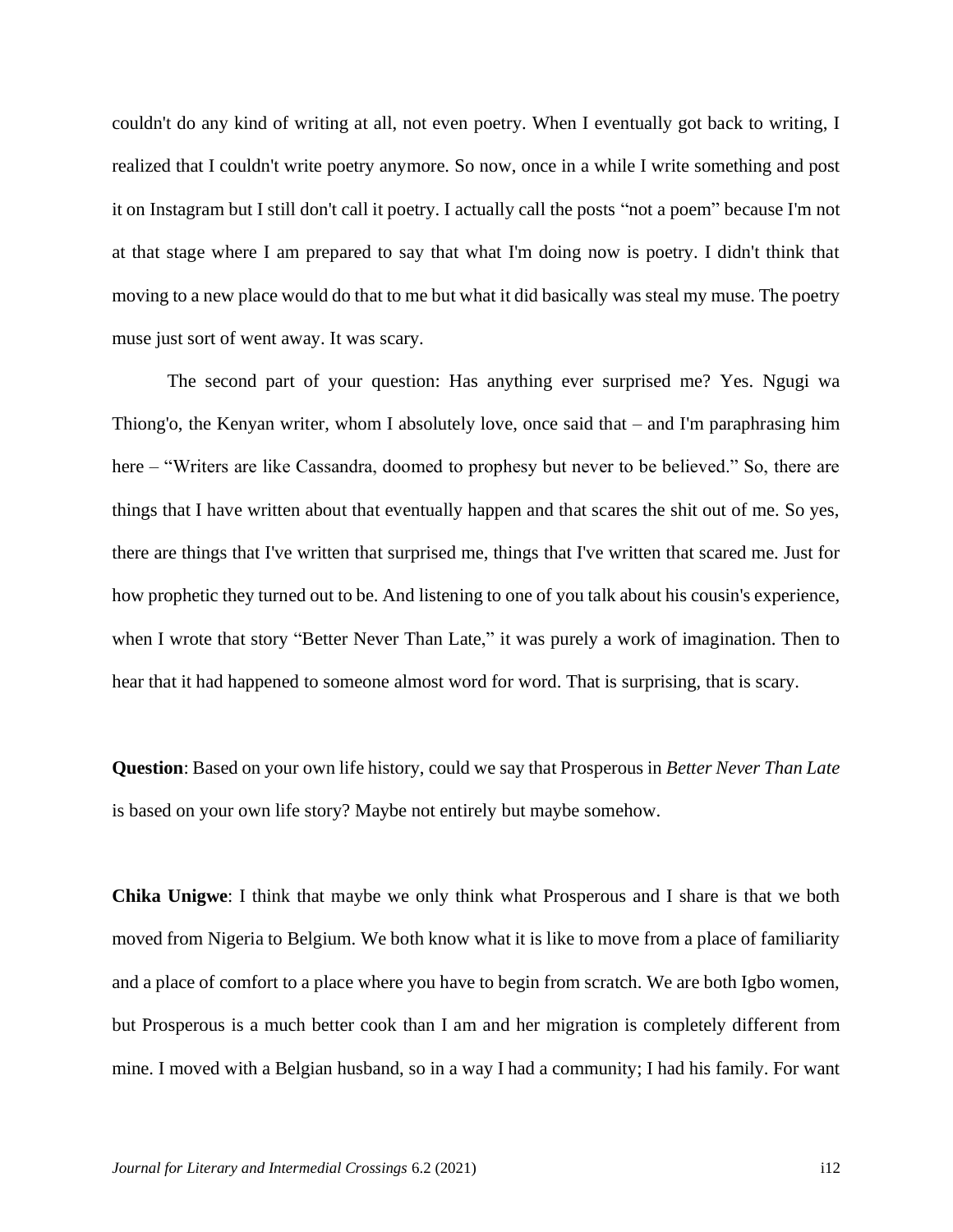couldn't do any kind of writing at all, not even poetry. When I eventually got back to writing, I realized that I couldn't write poetry anymore. So now, once in a while I write something and post it on Instagram but I still don't call it poetry. I actually call the posts "not a poem" because I'm not at that stage where I am prepared to say that what I'm doing now is poetry. I didn't think that moving to a new place would do that to me but what it did basically was steal my muse. The poetry muse just sort of went away. It was scary.

The second part of your question: Has anything ever surprised me? Yes. Ngugi wa Thiong'o, the Kenyan writer, whom I absolutely love, once said that – and I'm paraphrasing him here – "Writers are like Cassandra, doomed to prophesy but never to be believed." So, there are things that I have written about that eventually happen and that scares the shit out of me. So yes, there are things that I've written that surprised me, things that I've written that scared me. Just for how prophetic they turned out to be. And listening to one of you talk about his cousin's experience, when I wrote that story "Better Never Than Late," it was purely a work of imagination. Then to hear that it had happened to someone almost word for word. That is surprising, that is scary.

**Question**: Based on your own life history, could we say that Prosperous in *Better Never Than Late*  is based on your own life story? Maybe not entirely but maybe somehow.

**Chika Unigwe**: I think that maybe we only think what Prosperous and I share is that we both moved from Nigeria to Belgium. We both know what it is like to move from a place of familiarity and a place of comfort to a place where you have to begin from scratch. We are both Igbo women, but Prosperous is a much better cook than I am and her migration is completely different from mine. I moved with a Belgian husband, so in a way I had a community; I had his family. For want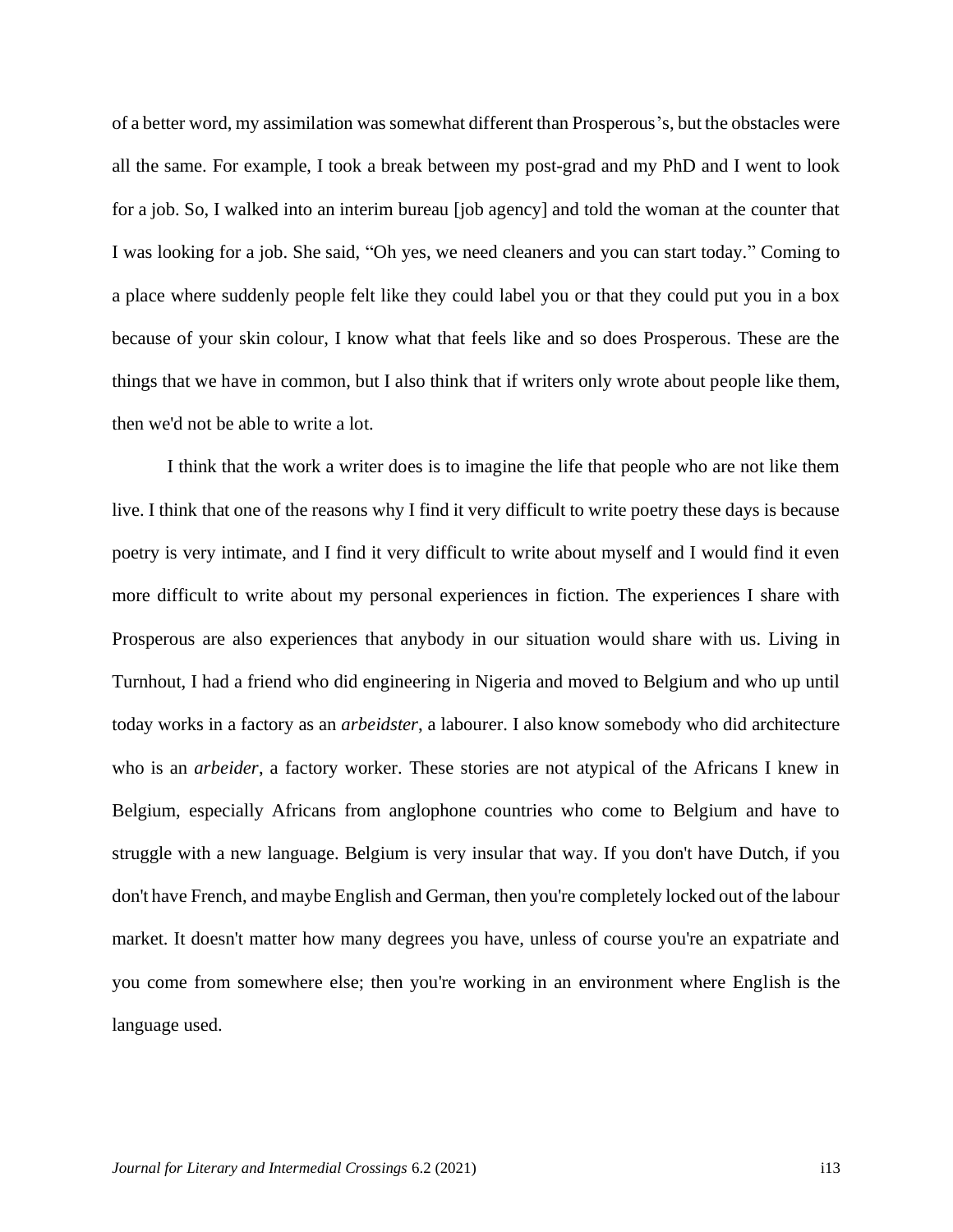of a better word, my assimilation was somewhat different than Prosperous's, but the obstacles were all the same. For example, I took a break between my post-grad and my PhD and I went to look for a job. So, I walked into an interim bureau [job agency] and told the woman at the counter that I was looking for a job. She said, "Oh yes, we need cleaners and you can start today." Coming to a place where suddenly people felt like they could label you or that they could put you in a box because of your skin colour, I know what that feels like and so does Prosperous. These are the things that we have in common, but I also think that if writers only wrote about people like them, then we'd not be able to write a lot.

I think that the work a writer does is to imagine the life that people who are not like them live. I think that one of the reasons why I find it very difficult to write poetry these days is because poetry is very intimate, and I find it very difficult to write about myself and I would find it even more difficult to write about my personal experiences in fiction. The experiences I share with Prosperous are also experiences that anybody in our situation would share with us. Living in Turnhout, I had a friend who did engineering in Nigeria and moved to Belgium and who up until today works in a factory as an *arbeidster*, a labourer. I also know somebody who did architecture who is an *arbeider*, a factory worker. These stories are not atypical of the Africans I knew in Belgium, especially Africans from anglophone countries who come to Belgium and have to struggle with a new language. Belgium is very insular that way. If you don't have Dutch, if you don't have French, and maybe English and German, then you're completely locked out of the labour market. It doesn't matter how many degrees you have, unless of course you're an expatriate and you come from somewhere else; then you're working in an environment where English is the language used.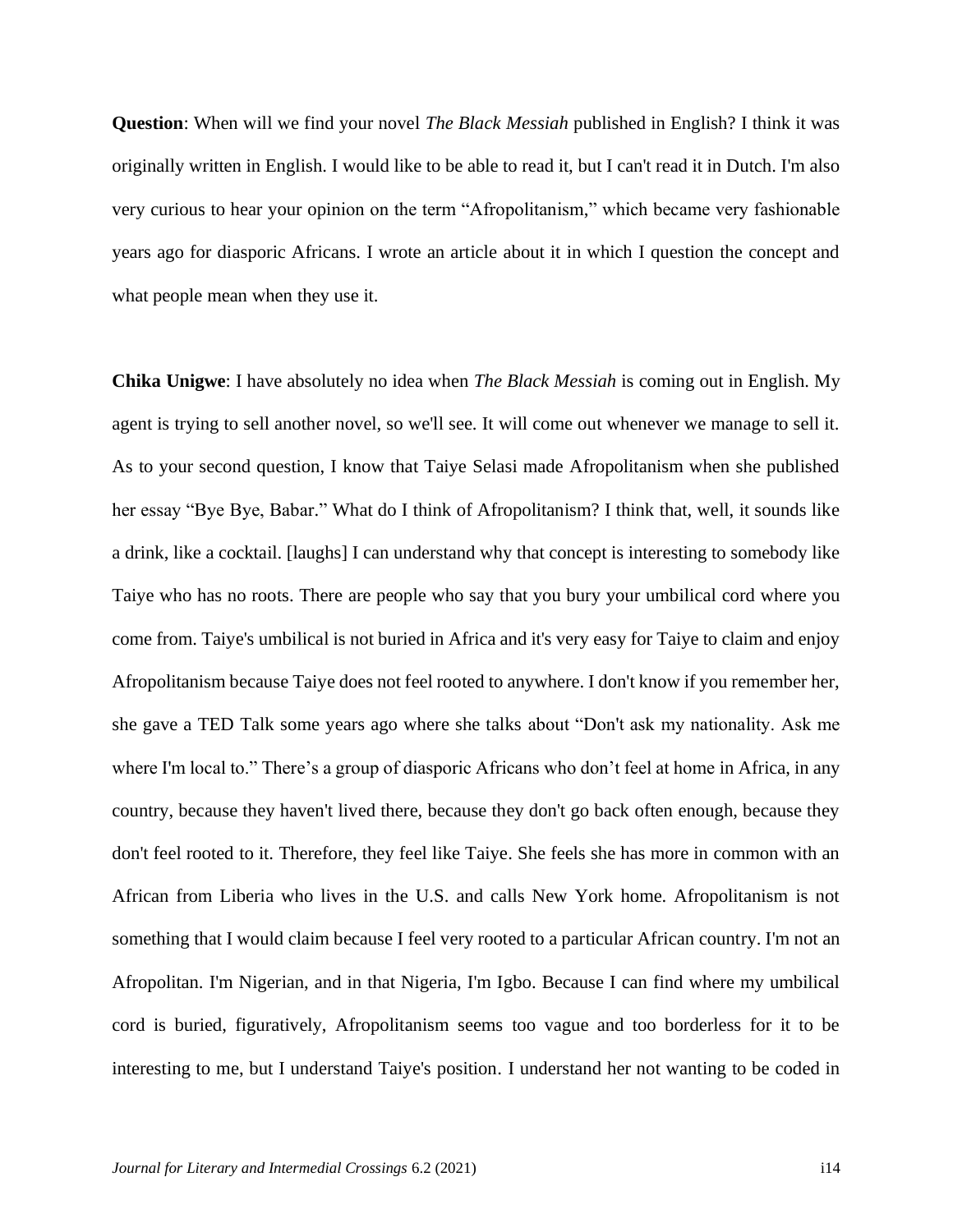**Question**: When will we find your novel *The Black Messiah* published in English? I think it was originally written in English. I would like to be able to read it, but I can't read it in Dutch. I'm also very curious to hear your opinion on the term "Afropolitanism," which became very fashionable years ago for diasporic Africans. I wrote an article about it in which I question the concept and what people mean when they use it.

**Chika Unigwe**: I have absolutely no idea when *The Black Messiah* is coming out in English. My agent is trying to sell another novel, so we'll see. It will come out whenever we manage to sell it. As to your second question, I know that Taiye Selasi made Afropolitanism when she published her essay "Bye Bye, Babar." What do I think of Afropolitanism? I think that, well, it sounds like a drink, like a cocktail. [laughs] I can understand why that concept is interesting to somebody like Taiye who has no roots. There are people who say that you bury your umbilical cord where you come from. Taiye's umbilical is not buried in Africa and it's very easy for Taiye to claim and enjoy Afropolitanism because Taiye does not feel rooted to anywhere. I don't know if you remember her, she gave a TED Talk some years ago where she talks about "Don't ask my nationality. Ask me where I'm local to." There's a group of diasporic Africans who don't feel at home in Africa, in any country, because they haven't lived there, because they don't go back often enough, because they don't feel rooted to it. Therefore, they feel like Taiye. She feels she has more in common with an African from Liberia who lives in the U.S. and calls New York home. Afropolitanism is not something that I would claim because I feel very rooted to a particular African country. I'm not an Afropolitan. I'm Nigerian, and in that Nigeria, I'm Igbo. Because I can find where my umbilical cord is buried, figuratively, Afropolitanism seems too vague and too borderless for it to be interesting to me, but I understand Taiye's position. I understand her not wanting to be coded in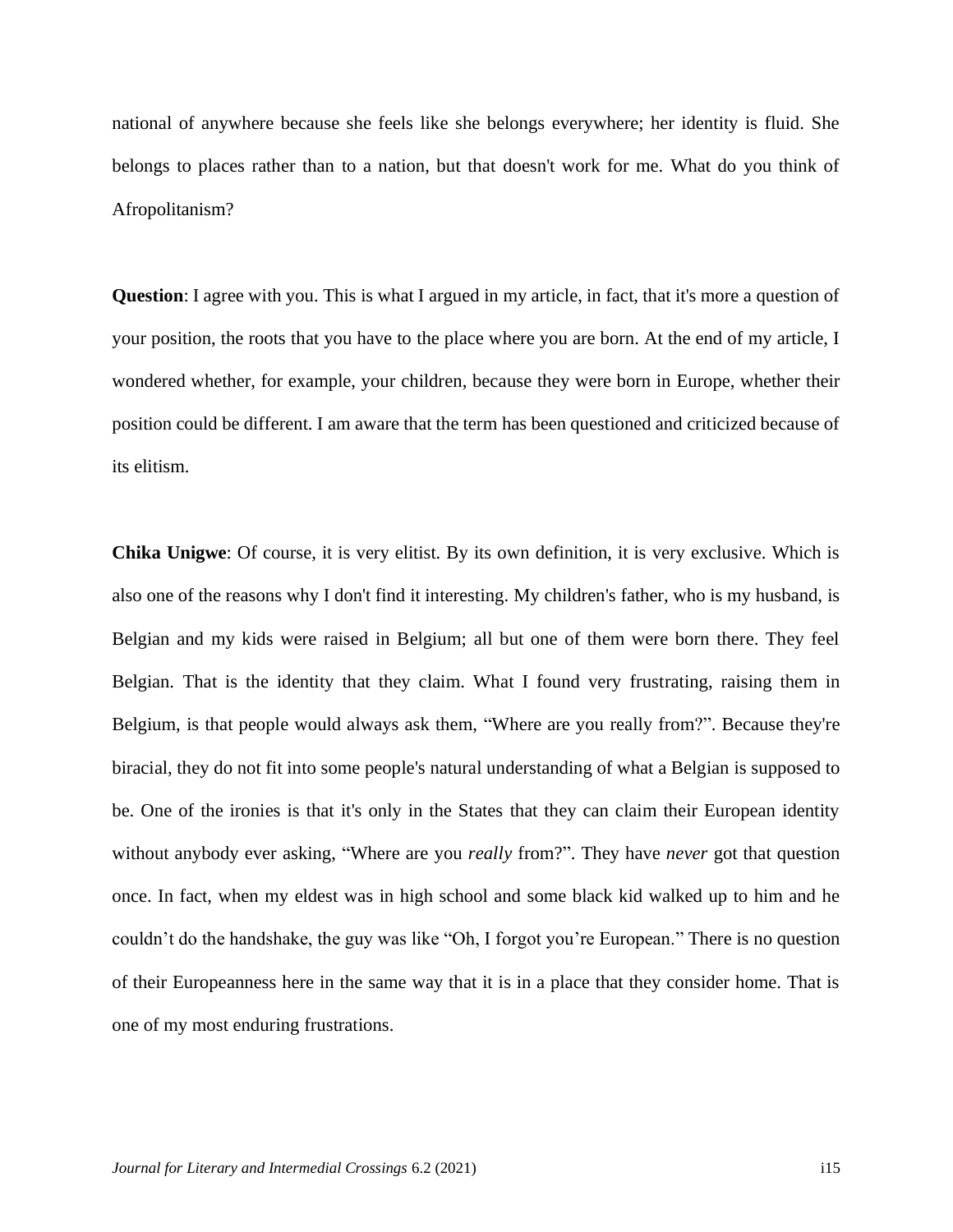national of anywhere because she feels like she belongs everywhere; her identity is fluid. She belongs to places rather than to a nation, but that doesn't work for me. What do you think of Afropolitanism?

**Question**: I agree with you. This is what I argued in my article, in fact, that it's more a question of your position, the roots that you have to the place where you are born. At the end of my article, I wondered whether, for example, your children, because they were born in Europe, whether their position could be different. I am aware that the term has been questioned and criticized because of its elitism.

**Chika Unigwe**: Of course, it is very elitist. By its own definition, it is very exclusive. Which is also one of the reasons why I don't find it interesting. My children's father, who is my husband, is Belgian and my kids were raised in Belgium; all but one of them were born there. They feel Belgian. That is the identity that they claim. What I found very frustrating, raising them in Belgium, is that people would always ask them, "Where are you really from?". Because they're biracial, they do not fit into some people's natural understanding of what a Belgian is supposed to be. One of the ironies is that it's only in the States that they can claim their European identity without anybody ever asking, "Where are you *really* from?". They have *never* got that question once. In fact, when my eldest was in high school and some black kid walked up to him and he couldn't do the handshake, the guy was like "Oh, I forgot you're European." There is no question of their Europeanness here in the same way that it is in a place that they consider home. That is one of my most enduring frustrations.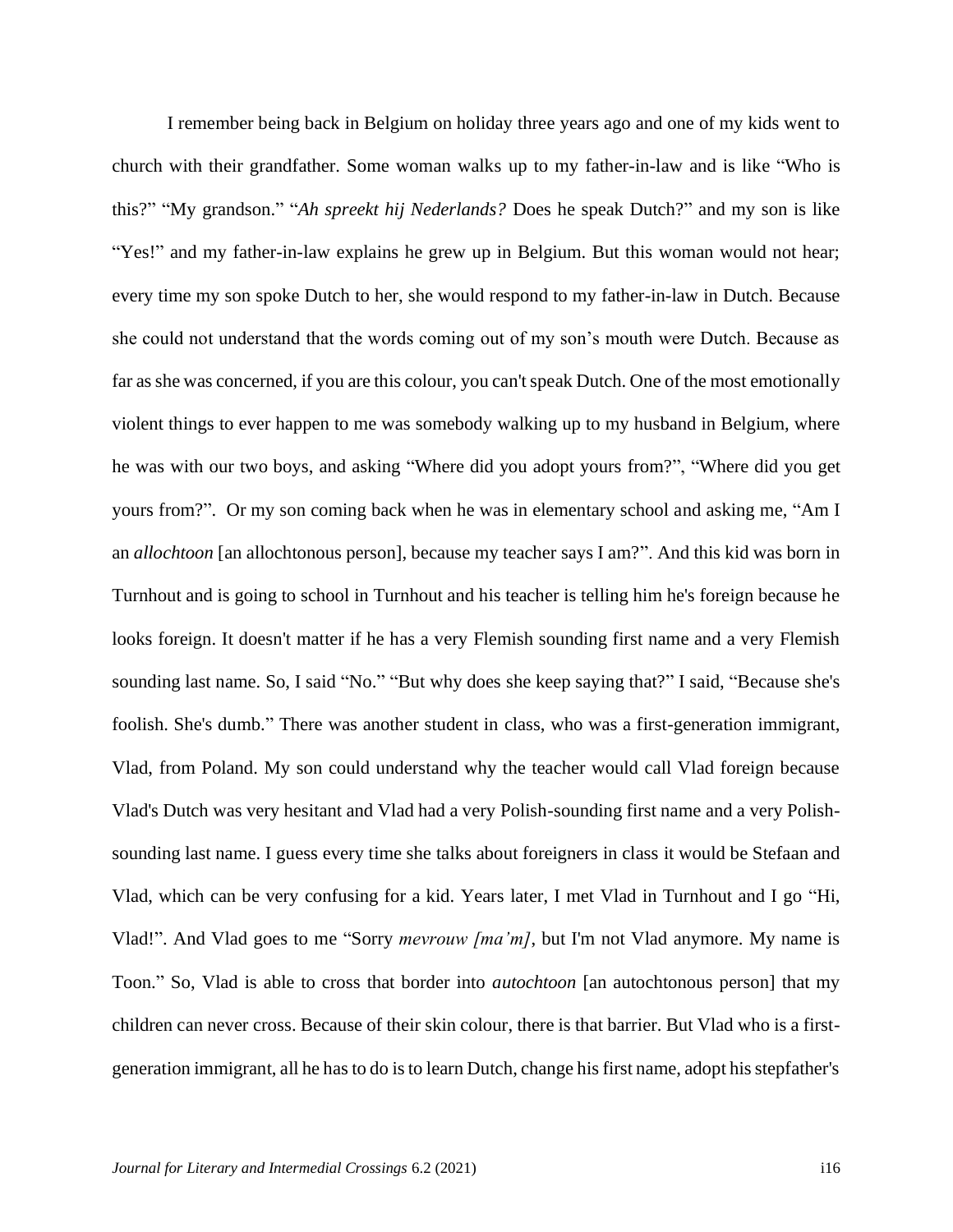I remember being back in Belgium on holiday three years ago and one of my kids went to church with their grandfather. Some woman walks up to my father-in-law and is like "Who is this?" "My grandson." "*Ah spreekt hij Nederlands?* Does he speak Dutch?" and my son is like "Yes!" and my father-in-law explains he grew up in Belgium. But this woman would not hear; every time my son spoke Dutch to her, she would respond to my father-in-law in Dutch. Because she could not understand that the words coming out of my son's mouth were Dutch. Because as far as she was concerned, if you are this colour, you can't speak Dutch. One of the most emotionally violent things to ever happen to me was somebody walking up to my husband in Belgium, where he was with our two boys, and asking "Where did you adopt yours from?", "Where did you get yours from?". Or my son coming back when he was in elementary school and asking me, "Am I an *allochtoon* [an allochtonous person], because my teacher says I am?". And this kid was born in Turnhout and is going to school in Turnhout and his teacher is telling him he's foreign because he looks foreign. It doesn't matter if he has a very Flemish sounding first name and a very Flemish sounding last name. So, I said "No." "But why does she keep saying that?" I said, "Because she's foolish. She's dumb." There was another student in class, who was a first-generation immigrant, Vlad, from Poland. My son could understand why the teacher would call Vlad foreign because Vlad's Dutch was very hesitant and Vlad had a very Polish-sounding first name and a very Polishsounding last name. I guess every time she talks about foreigners in class it would be Stefaan and Vlad, which can be very confusing for a kid. Years later, I met Vlad in Turnhout and I go "Hi, Vlad!". And Vlad goes to me "Sorry *mevrouw [ma'm]*, but I'm not Vlad anymore. My name is Toon." So, Vlad is able to cross that border into *autochtoon* [an autochtonous person] that my children can never cross. Because of their skin colour, there is that barrier. But Vlad who is a firstgeneration immigrant, all he has to do is to learn Dutch, change his first name, adopt his stepfather's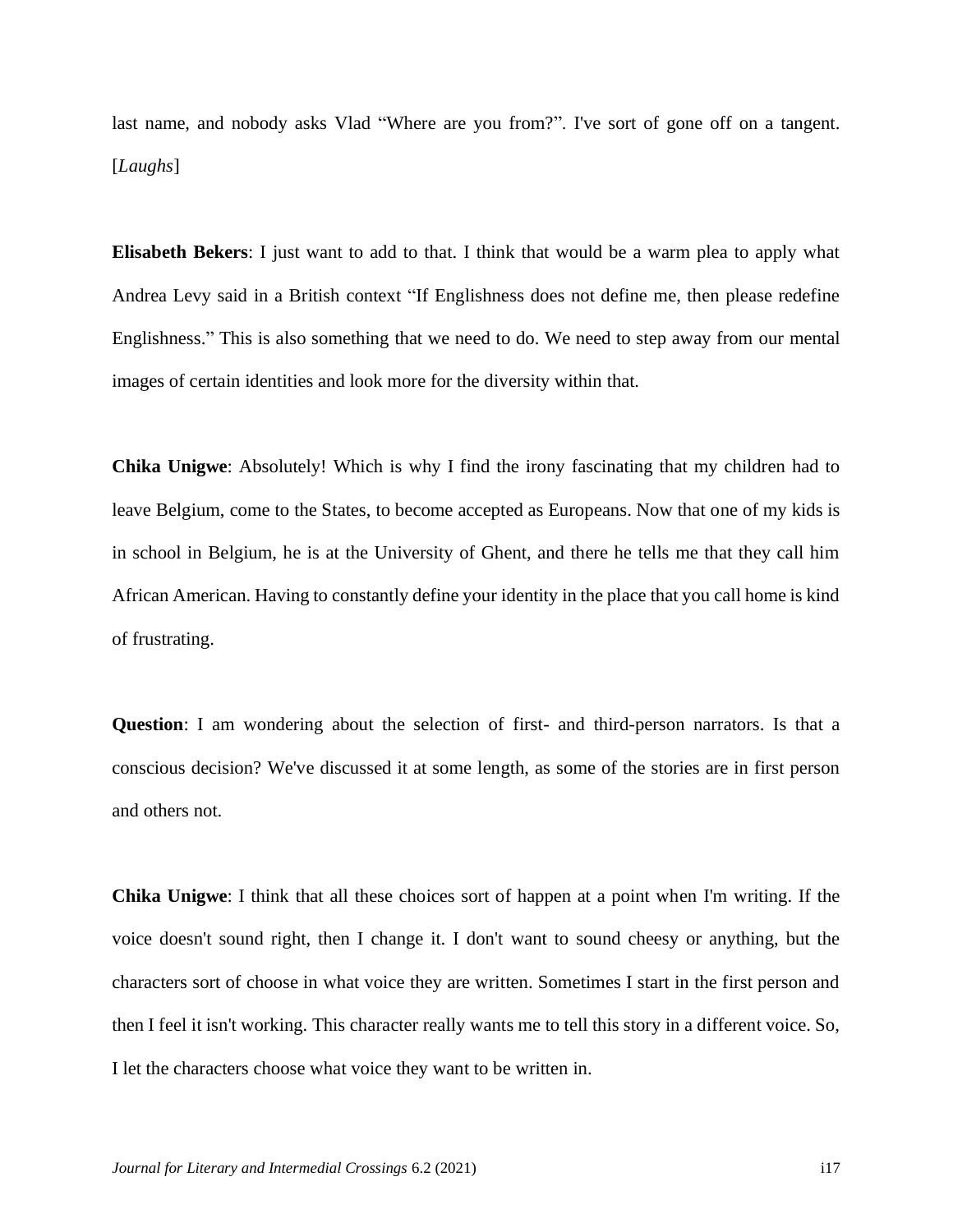last name, and nobody asks Vlad "Where are you from?". I've sort of gone off on a tangent. [*Laughs*]

**Elisabeth Bekers**: I just want to add to that. I think that would be a warm plea to apply what Andrea Levy said in a British context "If Englishness does not define me, then please redefine Englishness." This is also something that we need to do. We need to step away from our mental images of certain identities and look more for the diversity within that.

**Chika Unigwe**: Absolutely! Which is why I find the irony fascinating that my children had to leave Belgium, come to the States, to become accepted as Europeans. Now that one of my kids is in school in Belgium, he is at the University of Ghent, and there he tells me that they call him African American. Having to constantly define your identity in the place that you call home is kind of frustrating.

**Question**: I am wondering about the selection of first- and third-person narrators. Is that a conscious decision? We've discussed it at some length, as some of the stories are in first person and others not.

**Chika Unigwe**: I think that all these choices sort of happen at a point when I'm writing. If the voice doesn't sound right, then I change it. I don't want to sound cheesy or anything, but the characters sort of choose in what voice they are written. Sometimes I start in the first person and then I feel it isn't working. This character really wants me to tell this story in a different voice. So, I let the characters choose what voice they want to be written in.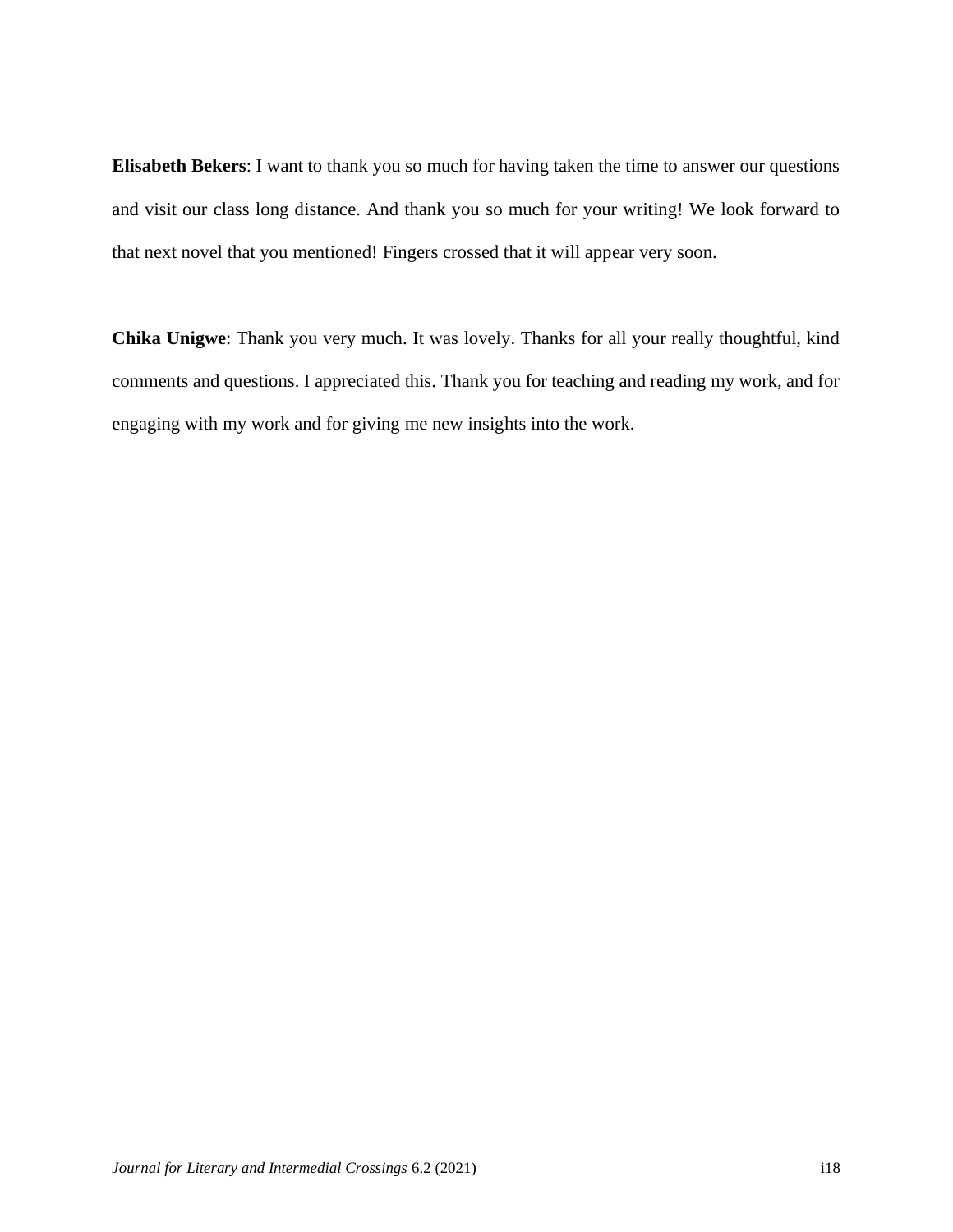**Elisabeth Bekers**: I want to thank you so much for having taken the time to answer our questions and visit our class long distance. And thank you so much for your writing! We look forward to that next novel that you mentioned! Fingers crossed that it will appear very soon.

**Chika Unigwe**: Thank you very much. It was lovely. Thanks for all your really thoughtful, kind comments and questions. I appreciated this. Thank you for teaching and reading my work, and for engaging with my work and for giving me new insights into the work.